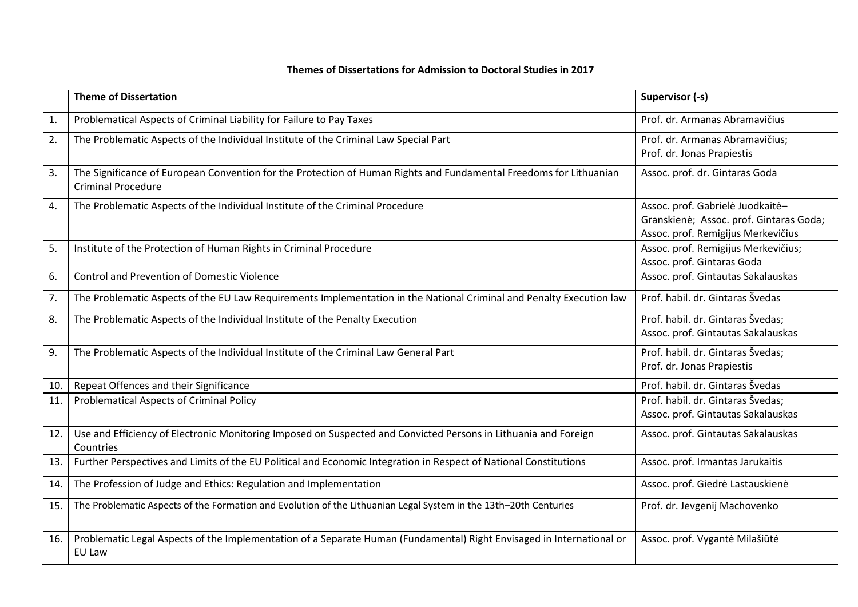## **Themes of Dissertations for Admission to Doctoral Studies in 2017**

|                | <b>Theme of Dissertation</b>                                                                                                                    | Supervisor (-s)                                                                                                   |
|----------------|-------------------------------------------------------------------------------------------------------------------------------------------------|-------------------------------------------------------------------------------------------------------------------|
| $\mathbf{1}$ . | Problematical Aspects of Criminal Liability for Failure to Pay Taxes                                                                            | Prof. dr. Armanas Abramavičius                                                                                    |
| 2.             | The Problematic Aspects of the Individual Institute of the Criminal Law Special Part                                                            | Prof. dr. Armanas Abramavičius;<br>Prof. dr. Jonas Prapiestis                                                     |
| 3.             | The Significance of European Convention for the Protection of Human Rights and Fundamental Freedoms for Lithuanian<br><b>Criminal Procedure</b> | Assoc. prof. dr. Gintaras Goda                                                                                    |
| 4.             | The Problematic Aspects of the Individual Institute of the Criminal Procedure                                                                   | Assoc. prof. Gabrielė Juodkaitė-<br>Granskienė; Assoc. prof. Gintaras Goda;<br>Assoc. prof. Remigijus Merkevičius |
| 5.             | Institute of the Protection of Human Rights in Criminal Procedure                                                                               | Assoc. prof. Remigijus Merkevičius;<br>Assoc. prof. Gintaras Goda                                                 |
| 6.             | <b>Control and Prevention of Domestic Violence</b>                                                                                              | Assoc. prof. Gintautas Sakalauskas                                                                                |
| 7.             | The Problematic Aspects of the EU Law Requirements Implementation in the National Criminal and Penalty Execution law                            | Prof. habil. dr. Gintaras Švedas                                                                                  |
| 8.             | The Problematic Aspects of the Individual Institute of the Penalty Execution                                                                    | Prof. habil. dr. Gintaras Švedas;<br>Assoc. prof. Gintautas Sakalauskas                                           |
| 9.             | The Problematic Aspects of the Individual Institute of the Criminal Law General Part                                                            | Prof. habil. dr. Gintaras Švedas;<br>Prof. dr. Jonas Prapiestis                                                   |
| 10.            | Repeat Offences and their Significance                                                                                                          | Prof. habil. dr. Gintaras Švedas                                                                                  |
| 11.            | <b>Problematical Aspects of Criminal Policy</b>                                                                                                 | Prof. habil. dr. Gintaras Švedas;<br>Assoc. prof. Gintautas Sakalauskas                                           |
| 12.            | Use and Efficiency of Electronic Monitoring Imposed on Suspected and Convicted Persons in Lithuania and Foreign<br>Countries                    | Assoc. prof. Gintautas Sakalauskas                                                                                |
| 13.            | Further Perspectives and Limits of the EU Political and Economic Integration in Respect of National Constitutions                               | Assoc. prof. Irmantas Jarukaitis                                                                                  |
| 14.            | The Profession of Judge and Ethics: Regulation and Implementation                                                                               | Assoc. prof. Giedrė Lastauskienė                                                                                  |
| 15.            | The Problematic Aspects of the Formation and Evolution of the Lithuanian Legal System in the 13th-20th Centuries                                | Prof. dr. Jevgenij Machovenko                                                                                     |
| 16.            | Problematic Legal Aspects of the Implementation of a Separate Human (Fundamental) Right Envisaged in International or<br>EU Law                 | Assoc. prof. Vygantė Milašiūtė                                                                                    |